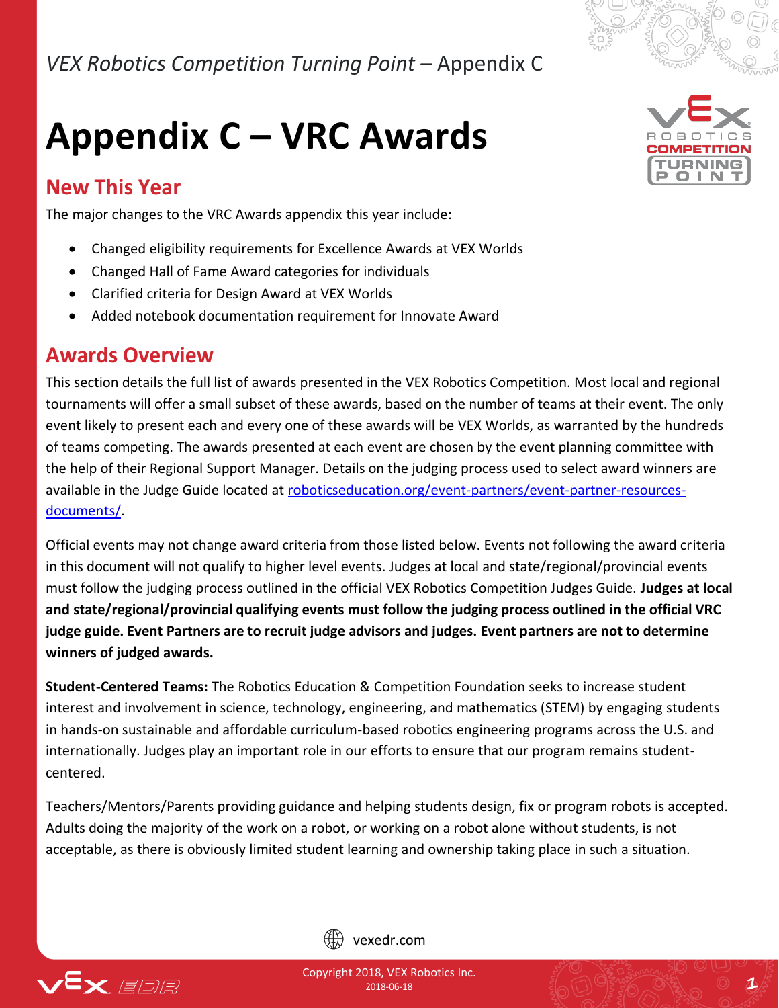

# **Appendix C – VRC Awards**

## **New This Year**

The major changes to the VRC Awards appendix this year include:

- Changed eligibility requirements for Excellence Awards at VEX Worlds
- Changed Hall of Fame Award categories for individuals
- Clarified criteria for Design Award at VEX Worlds
- Added notebook documentation requirement for Innovate Award

### **Awards Overview**

This section details the full list of awards presented in the VEX Robotics Competition. Most local and regional tournaments will offer a small subset of these awards, based on the number of teams at their event. The only event likely to present each and every one of these awards will be VEX Worlds, as warranted by the hundreds of teams competing. The awards presented at each event are chosen by the event planning committee with the help of their Regional Support Manager. Details on the judging process used to select award winners are available in the Judge Guide located at [roboticseducation.org/event-partners/event-partner-resources](http://www.roboticseducation.org/event-partners/event-partner-resources-documents/)[documents/.](http://www.roboticseducation.org/event-partners/event-partner-resources-documents/)

Official events may not change award criteria from those listed below. Events not following the award criteria in this document will not qualify to higher level events. Judges at local and state/regional/provincial events must follow the judging process outlined in the official VEX Robotics Competition Judges Guide. **Judges at local and state/regional/provincial qualifying events must follow the judging process outlined in the official VRC judge guide. Event Partners are to recruit judge advisors and judges. Event partners are not to determine winners of judged awards.**

**Student-Centered Teams:** The Robotics Education & Competition Foundation seeks to increase student interest and involvement in science, technology, engineering, and mathematics (STEM) by engaging students in hands-on sustainable and affordable curriculum-based robotics engineering programs across the U.S. and internationally. Judges play an important role in our efforts to ensure that our program remains studentcentered.

Teachers/Mentors/Parents providing guidance and helping students design, fix or program robots is accepted. Adults doing the majority of the work on a robot, or working on a robot alone without students, is not acceptable, as there is obviously limited student learning and ownership taking place in such a situation.



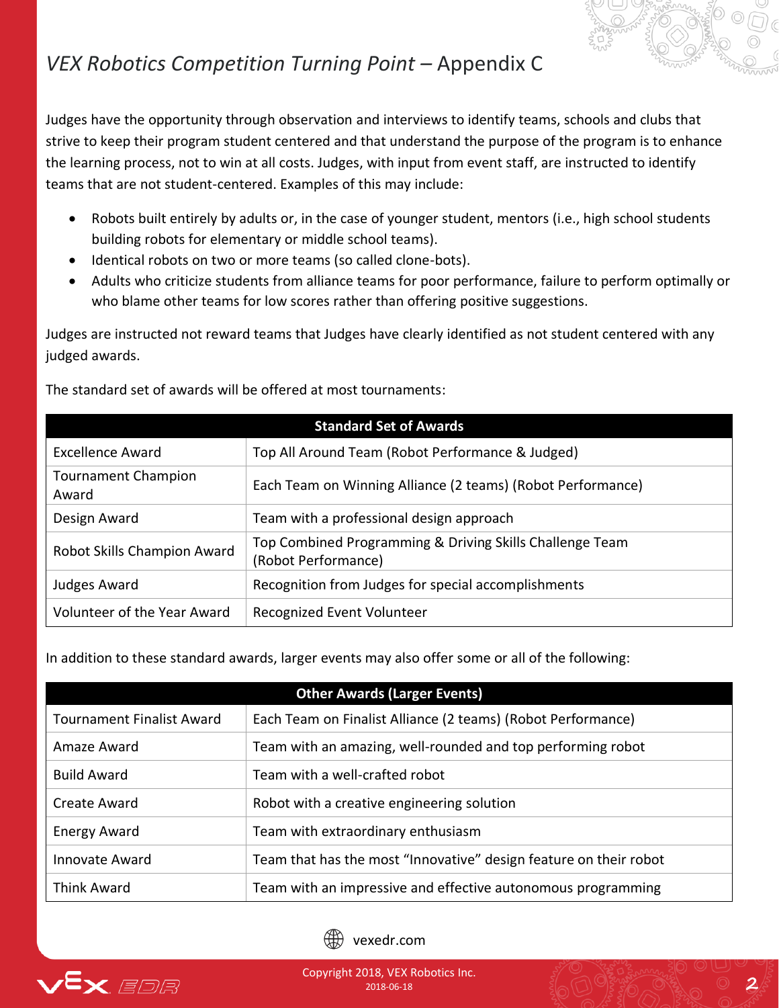Judges have the opportunity through observation and interviews to identify teams, schools and clubs that strive to keep their program student centered and that understand the purpose of the program is to enhance the learning process, not to win at all costs. Judges, with input from event staff, are instructed to identify teams that are not student-centered. Examples of this may include:

- Robots built entirely by adults or, in the case of younger student, mentors (i.e., high school students building robots for elementary or middle school teams).
- Identical robots on two or more teams (so called clone-bots).
- Adults who criticize students from alliance teams for poor performance, failure to perform optimally or who blame other teams for low scores rather than offering positive suggestions.

Judges are instructed not reward teams that Judges have clearly identified as not student centered with any judged awards.

| <b>Standard Set of Awards</b>       |                                                                                 |  |
|-------------------------------------|---------------------------------------------------------------------------------|--|
| <b>Excellence Award</b>             | Top All Around Team (Robot Performance & Judged)                                |  |
| <b>Tournament Champion</b><br>Award | Each Team on Winning Alliance (2 teams) (Robot Performance)                     |  |
| Design Award                        | Team with a professional design approach                                        |  |
| Robot Skills Champion Award         | Top Combined Programming & Driving Skills Challenge Team<br>(Robot Performance) |  |
| Judges Award                        | Recognition from Judges for special accomplishments                             |  |
| Volunteer of the Year Award         | Recognized Event Volunteer                                                      |  |

The standard set of awards will be offered at most tournaments:

In addition to these standard awards, larger events may also offer some or all of the following:

| <b>Other Awards (Larger Events)</b> |                                                                   |  |
|-------------------------------------|-------------------------------------------------------------------|--|
| <b>Tournament Finalist Award</b>    | Each Team on Finalist Alliance (2 teams) (Robot Performance)      |  |
| Amaze Award                         | Team with an amazing, well-rounded and top performing robot       |  |
| <b>Build Award</b>                  | Team with a well-crafted robot                                    |  |
| Create Award                        | Robot with a creative engineering solution                        |  |
| <b>Energy Award</b>                 | Team with extraordinary enthusiasm                                |  |
| Innovate Award                      | Team that has the most "Innovative" design feature on their robot |  |
| <b>Think Award</b>                  | Team with an impressive and effective autonomous programming      |  |



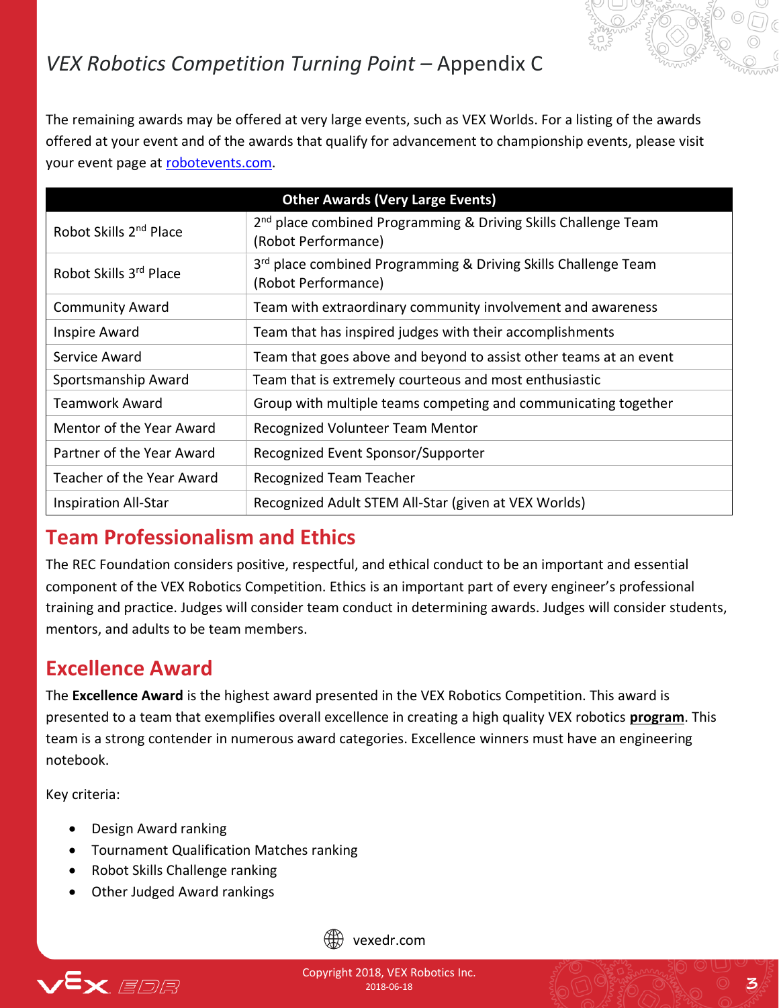

The remaining awards may be offered at very large events, such as VEX Worlds. For a listing of the awards offered at your event and of the awards that qualify for advancement to championship events, please visit your event page at [robotevents.com.](http://www.robotevents.com/)

| <b>Other Awards (Very Large Events)</b> |                                                                                                   |
|-----------------------------------------|---------------------------------------------------------------------------------------------------|
| Robot Skills 2 <sup>nd</sup> Place      | 2 <sup>nd</sup> place combined Programming & Driving Skills Challenge Team<br>(Robot Performance) |
| Robot Skills 3rd Place                  | 3rd place combined Programming & Driving Skills Challenge Team<br>(Robot Performance)             |
| <b>Community Award</b>                  | Team with extraordinary community involvement and awareness                                       |
| Inspire Award                           | Team that has inspired judges with their accomplishments                                          |
| Service Award                           | Team that goes above and beyond to assist other teams at an event                                 |
| Sportsmanship Award                     | Team that is extremely courteous and most enthusiastic                                            |
| Teamwork Award                          | Group with multiple teams competing and communicating together                                    |
| Mentor of the Year Award                | Recognized Volunteer Team Mentor                                                                  |
| Partner of the Year Award               | Recognized Event Sponsor/Supporter                                                                |
| Teacher of the Year Award               | <b>Recognized Team Teacher</b>                                                                    |
| <b>Inspiration All-Star</b>             | Recognized Adult STEM All-Star (given at VEX Worlds)                                              |

## **Team Professionalism and Ethics**

The REC Foundation considers positive, respectful, and ethical conduct to be an important and essential component of the VEX Robotics Competition. Ethics is an important part of every engineer's professional training and practice. Judges will consider team conduct in determining awards. Judges will consider students, mentors, and adults to be team members.

## **Excellence Award**

The **Excellence Award** is the highest award presented in the VEX Robotics Competition. This award is presented to a team that exemplifies overall excellence in creating a high quality VEX robotics **program**. This team is a strong contender in numerous award categories. Excellence winners must have an engineering notebook.

Key criteria:

- Design Award ranking
- Tournament Qualification Matches ranking
- Robot Skills Challenge ranking
- Other Judged Award rankings



vexedr.com

Copyright 2018, VEX Robotics Inc. 2018-06-18 **3**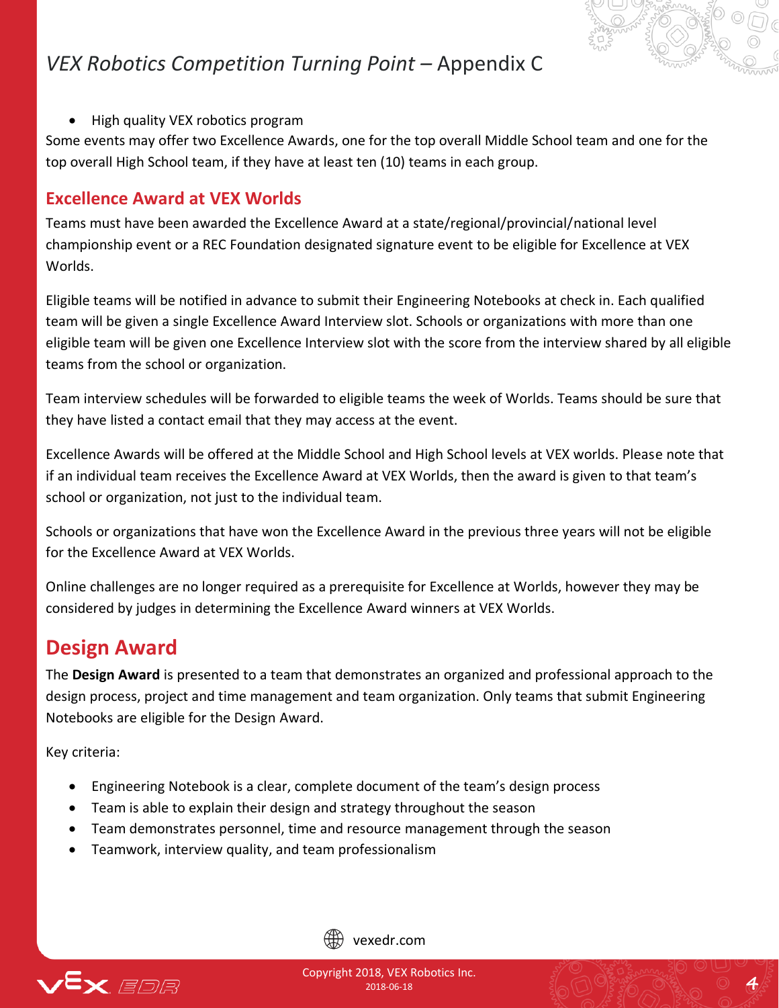

• High quality VEX robotics program

Some events may offer two Excellence Awards, one for the top overall Middle School team and one for the top overall High School team, if they have at least ten (10) teams in each group.

#### **Excellence Award at VEX Worlds**

Teams must have been awarded the Excellence Award at a state/regional/provincial/national level championship event or a REC Foundation designated signature event to be eligible for Excellence at VEX Worlds.

Eligible teams will be notified in advance to submit their Engineering Notebooks at check in. Each qualified team will be given a single Excellence Award Interview slot. Schools or organizations with more than one eligible team will be given one Excellence Interview slot with the score from the interview shared by all eligible teams from the school or organization.

Team interview schedules will be forwarded to eligible teams the week of Worlds. Teams should be sure that they have listed a contact email that they may access at the event.

Excellence Awards will be offered at the Middle School and High School levels at VEX worlds. Please note that if an individual team receives the Excellence Award at VEX Worlds, then the award is given to that team's school or organization, not just to the individual team.

Schools or organizations that have won the Excellence Award in the previous three years will not be eligible for the Excellence Award at VEX Worlds.

Online challenges are no longer required as a prerequisite for Excellence at Worlds, however they may be considered by judges in determining the Excellence Award winners at VEX Worlds.

### **Design Award**

The **Design Award** is presented to a team that demonstrates an organized and professional approach to the design process, project and time management and team organization. Only teams that submit Engineering Notebooks are eligible for the Design Award.

Key criteria:

- Engineering Notebook is a clear, complete document of the team's design process
- Team is able to explain their design and strategy throughout the season
- Team demonstrates personnel, time and resource management through the season
- Teamwork, interview quality, and team professionalism





Copyright 2018, VEX Robotics Inc.  $\frac{1}{2018\cdot 06\cdot 18}$  **4**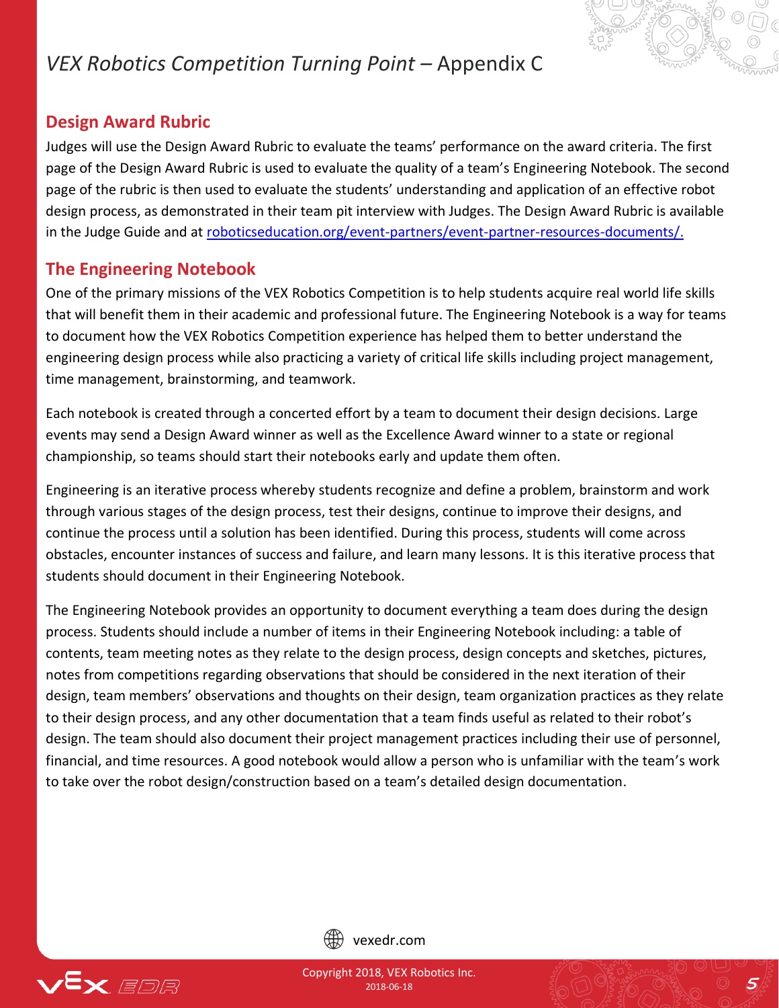#### **Design Award Rubric**

Judges will use the Design Award Rubric to evaluate the teams' performance on the award criteria. The first page of the Design Award Rubric is used to evaluate the quality of a team's Engineering Notebook. The second page of the rubric is then used to evaluate the students' understanding and application of an effective robot design process, as demonstrated in their team pit interview with Judges. The Design Award Rubric is available in the Judge Guide and at [roboticseducation.org/event-partners/event-partner-resources-documents/.](http://www.roboticseducation.org/event-partners/event-partner-resources-documents/)

#### **The Engineering Notebook**

One of the primary missions of the VEX Robotics Competition is to help students acquire real world life skills that will benefit them in their academic and professional future. The Engineering Notebook is a way for teams to document how the VEX Robotics Competition experience has helped them to better understand the engineering design process while also practicing a variety of critical life skills including project management, time management, brainstorming, and teamwork.

Each notebook is created through a concerted effort by a team to document their design decisions. Large events may send a Design Award winner as well as the Excellence Award winner to a state or regional championship, so teams should start their notebooks early and update them often.

Engineering is an iterative process whereby students recognize and define a problem, brainstorm and work through various stages of the design process, test their designs, continue to improve their designs, and continue the process until a solution has been identified. During this process, students will come across obstacles, encounter instances of success and failure, and learn many lessons. It is this iterative process that students should document in their Engineering Notebook.

The Engineering Notebook provides an opportunity to document everything a team does during the design process. Students should include a number of items in their Engineering Notebook including: a table of contents, team meeting notes as they relate to the design process, design concepts and sketches, pictures, notes from competitions regarding observations that should be considered in the next iteration of their design, team members' observations and thoughts on their design, team organization practices as they relate to their design process, and any other documentation that a team finds useful as related to their robot's design. The team should also document their project management practices including their use of personnel, financial, and time resources. A good notebook would allow a person who is unfamiliar with the team's work to take over the robot design/construction based on a team's detailed design documentation.



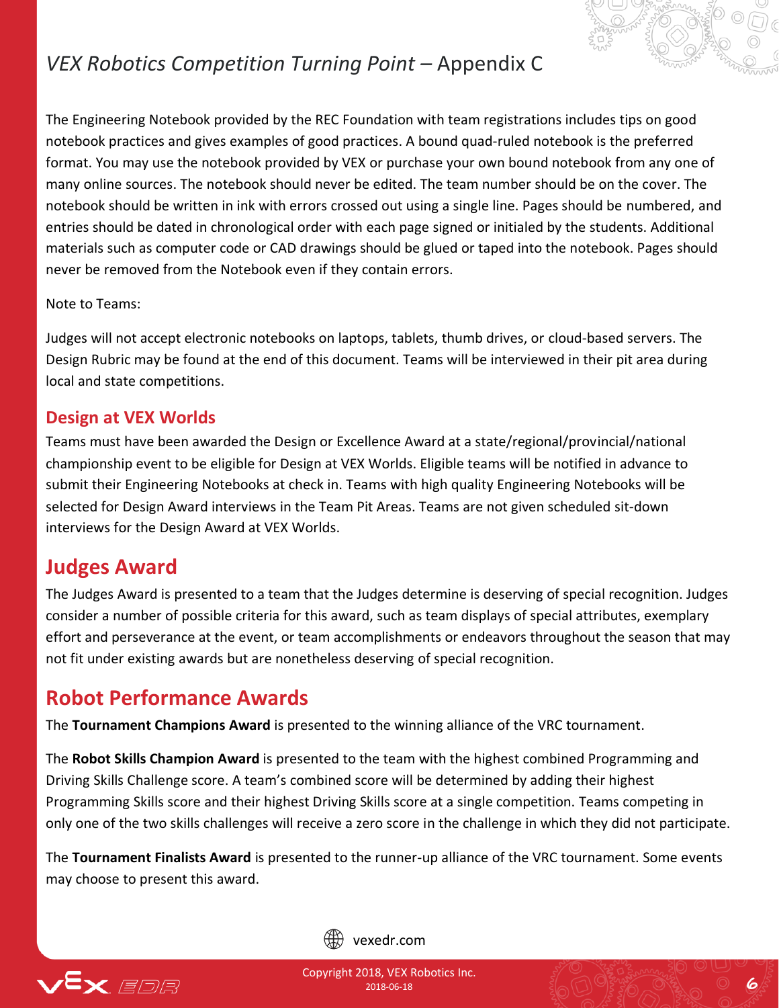

The Engineering Notebook provided by the REC Foundation with team registrations includes tips on good notebook practices and gives examples of good practices. A bound quad-ruled notebook is the preferred format. You may use the notebook provided by VEX or purchase your own bound notebook from any one of many online sources. The notebook should never be edited. The team number should be on the cover. The notebook should be written in ink with errors crossed out using a single line. Pages should be numbered, and entries should be dated in chronological order with each page signed or initialed by the students. Additional materials such as computer code or CAD drawings should be glued or taped into the notebook. Pages should never be removed from the Notebook even if they contain errors.

Note to Teams:

Judges will not accept electronic notebooks on laptops, tablets, thumb drives, or cloud-based servers. The Design Rubric may be found at the end of this document. Teams will be interviewed in their pit area during local and state competitions.

#### **Design at VEX Worlds**

Teams must have been awarded the Design or Excellence Award at a state/regional/provincial/national championship event to be eligible for Design at VEX Worlds. Eligible teams will be notified in advance to submit their Engineering Notebooks at check in. Teams with high quality Engineering Notebooks will be selected for Design Award interviews in the Team Pit Areas. Teams are not given scheduled sit-down interviews for the Design Award at VEX Worlds.

### **Judges Award**

The Judges Award is presented to a team that the Judges determine is deserving of special recognition. Judges consider a number of possible criteria for this award, such as team displays of special attributes, exemplary effort and perseverance at the event, or team accomplishments or endeavors throughout the season that may not fit under existing awards but are nonetheless deserving of special recognition.

### **Robot Performance Awards**

The **Tournament Champions Award** is presented to the winning alliance of the VRC tournament.

The **Robot Skills Champion Award** is presented to the team with the highest combined Programming and Driving Skills Challenge score. A team's combined score will be determined by adding their highest Programming Skills score and their highest Driving Skills score at a single competition. Teams competing in only one of the two skills challenges will receive a zero score in the challenge in which they did not participate.

The **Tournament Finalists Award** is presented to the runner-up alliance of the VRC tournament. Some events may choose to present this award.



vexedr.com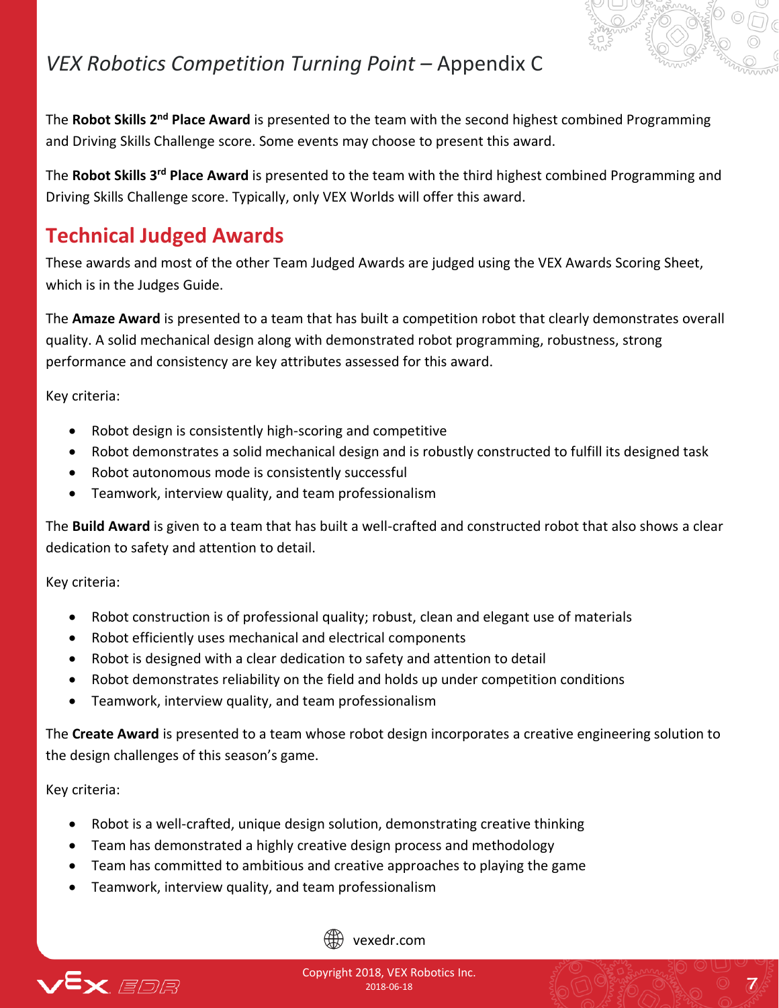

The **Robot Skills 2nd Place Award** is presented to the team with the second highest combined Programming and Driving Skills Challenge score. Some events may choose to present this award.

The **Robot Skills 3rd Place Award** is presented to the team with the third highest combined Programming and Driving Skills Challenge score. Typically, only VEX Worlds will offer this award.

### **Technical Judged Awards**

These awards and most of the other Team Judged Awards are judged using the VEX Awards Scoring Sheet, which is in the Judges Guide.

The **Amaze Award** is presented to a team that has built a competition robot that clearly demonstrates overall quality. A solid mechanical design along with demonstrated robot programming, robustness, strong performance and consistency are key attributes assessed for this award.

Key criteria:

- Robot design is consistently high-scoring and competitive
- Robot demonstrates a solid mechanical design and is robustly constructed to fulfill its designed task
- Robot autonomous mode is consistently successful
- Teamwork, interview quality, and team professionalism

The **Build Award** is given to a team that has built a well-crafted and constructed robot that also shows a clear dedication to safety and attention to detail.

Key criteria:

- Robot construction is of professional quality; robust, clean and elegant use of materials
- Robot efficiently uses mechanical and electrical components
- Robot is designed with a clear dedication to safety and attention to detail
- Robot demonstrates reliability on the field and holds up under competition conditions
- Teamwork, interview quality, and team professionalism

The **Create Award** is presented to a team whose robot design incorporates a creative engineering solution to the design challenges of this season's game.

Key criteria:

- Robot is a well-crafted, unique design solution, demonstrating creative thinking
- Team has demonstrated a highly creative design process and methodology
- Team has committed to ambitious and creative approaches to playing the game
- Teamwork, interview quality, and team professionalism



vexedr.com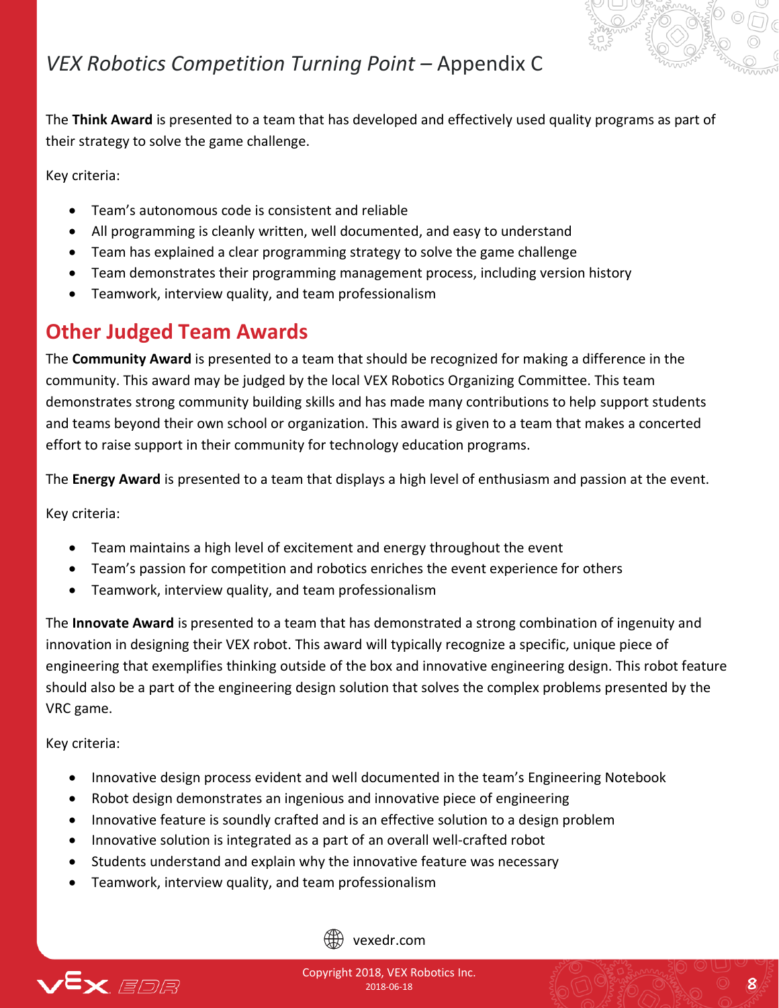

The **Think Award** is presented to a team that has developed and effectively used quality programs as part of their strategy to solve the game challenge.

Key criteria:

- Team's autonomous code is consistent and reliable
- All programming is cleanly written, well documented, and easy to understand
- Team has explained a clear programming strategy to solve the game challenge
- Team demonstrates their programming management process, including version history
- Teamwork, interview quality, and team professionalism

### **Other Judged Team Awards**

The **Community Award** is presented to a team that should be recognized for making a difference in the community. This award may be judged by the local VEX Robotics Organizing Committee. This team demonstrates strong community building skills and has made many contributions to help support students and teams beyond their own school or organization. This award is given to a team that makes a concerted effort to raise support in their community for technology education programs.

The **Energy Award** is presented to a team that displays a high level of enthusiasm and passion at the event.

Key criteria:

- Team maintains a high level of excitement and energy throughout the event
- Team's passion for competition and robotics enriches the event experience for others
- Teamwork, interview quality, and team professionalism

The **Innovate Award** is presented to a team that has demonstrated a strong combination of ingenuity and innovation in designing their VEX robot. This award will typically recognize a specific, unique piece of engineering that exemplifies thinking outside of the box and innovative engineering design. This robot feature should also be a part of the engineering design solution that solves the complex problems presented by the VRC game.

Key criteria:

- Innovative design process evident and well documented in the team's Engineering Notebook
- Robot design demonstrates an ingenious and innovative piece of engineering
- Innovative feature is soundly crafted and is an effective solution to a design problem
- Innovative solution is integrated as a part of an overall well-crafted robot
- Students understand and explain why the innovative feature was necessary
- Teamwork, interview quality, and team professionalism



vexedr.com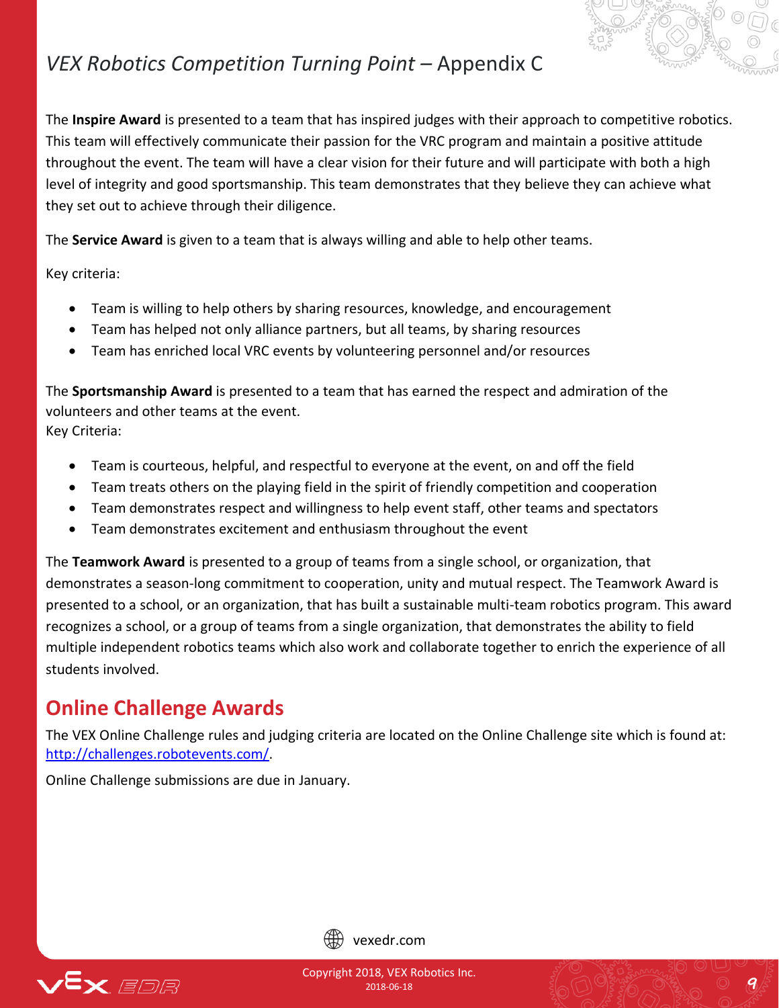

The **Inspire Award** is presented to a team that has inspired judges with their approach to competitive robotics. This team will effectively communicate their passion for the VRC program and maintain a positive attitude throughout the event. The team will have a clear vision for their future and will participate with both a high level of integrity and good sportsmanship. This team demonstrates that they believe they can achieve what they set out to achieve through their diligence.

The **Service Award** is given to a team that is always willing and able to help other teams.

Key criteria:

- Team is willing to help others by sharing resources, knowledge, and encouragement
- Team has helped not only alliance partners, but all teams, by sharing resources
- Team has enriched local VRC events by volunteering personnel and/or resources

The **Sportsmanship Award** is presented to a team that has earned the respect and admiration of the volunteers and other teams at the event. Key Criteria:

- Team is courteous, helpful, and respectful to everyone at the event, on and off the field
- Team treats others on the playing field in the spirit of friendly competition and cooperation
- Team demonstrates respect and willingness to help event staff, other teams and spectators
- Team demonstrates excitement and enthusiasm throughout the event

The **Teamwork Award** is presented to a group of teams from a single school, or organization, that demonstrates a season-long commitment to cooperation, unity and mutual respect. The Teamwork Award is presented to a school, or an organization, that has built a sustainable multi-team robotics program. This award recognizes a school, or a group of teams from a single organization, that demonstrates the ability to field multiple independent robotics teams which also work and collaborate together to enrich the experience of all students involved.

### **Online Challenge Awards**

The VEX Online Challenge rules and judging criteria are located on the Online Challenge site which is found at: [http://challenges.robotevents.com/.](http://challenges.robotevents.com/)

Online Challenge submissions are due in January.